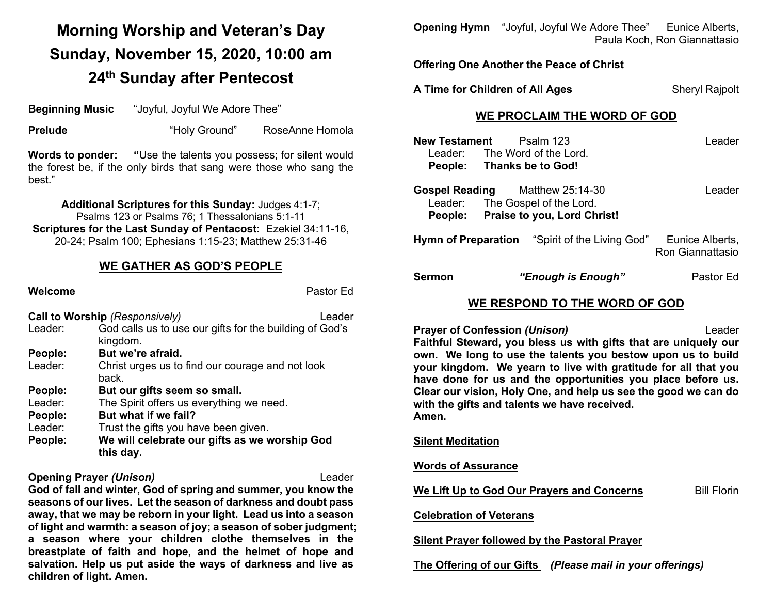# **Morning Worship and Veteran's Day Sunday, November 15, 2020, 10:00 am 24th Sunday after Pentecost**

**Beginning Music** "Joyful, Joyful We Adore Thee"

**Prelude The Contract Studies Contract The Contract Prelude Prelude Contract Studies Contract Prelude Contract Prelude Contract Prelude Contract Prelude Contract Prelude Contract Prelude Contract Prelude** 

**Words to ponder: "**Use the talents you possess; for silent would the forest be, if the only birds that sang were those who sang the best."

**Additional Scriptures for this Sunday:** Judges 4:1-7; Psalms 123 or Psalms 76; 1 Thessalonians 5:1-11 **Scriptures for the Last Sunday of Pentacost:** Ezekiel 34:11-16, 20-24; Psalm 100; Ephesians 1:15-23; Matthew 25:31-46

## **WE GATHER AS GOD'S PEOPLE**

|                                          | Pastor Ed                                                                                                                                                    |
|------------------------------------------|--------------------------------------------------------------------------------------------------------------------------------------------------------------|
| <b>Call to Worship (Responsively)</b>    | Leader                                                                                                                                                       |
| kingdom.                                 |                                                                                                                                                              |
| But we're afraid.                        |                                                                                                                                                              |
| back.                                    |                                                                                                                                                              |
| But our gifts seem so small.             |                                                                                                                                                              |
| The Spirit offers us everything we need. |                                                                                                                                                              |
| But what if we fail?                     |                                                                                                                                                              |
| Trust the gifts you have been given.     |                                                                                                                                                              |
| this day.                                |                                                                                                                                                              |
|                                          | God calls us to use our gifts for the building of God's<br>Christ urges us to find our courage and not look<br>We will celebrate our gifts as we worship God |

### **Opening Prayer** *(Unison)* Leader

**God of fall and winter, God of spring and summer, you know the seasons of our lives. Let the season of darkness and doubt pass away, that we may be reborn in your light. Lead us into a season of light and warmth: a season of joy; a season of sober judgment; a season where your children clothe themselves in the breastplate of faith and hope, and the helmet of hope and salvation. Help us put aside the ways of darkness and live as children of light. Amen.**

**Opening Hymn** "Joyful, Joyful We Adore Thee" Eunice Alberts, Paula Koch, Ron Giannattasio

**Offering One Another the Peace of Christ**

**A Time for Children of All Ages** Sheryl Rajpolt

## **WE PROCLAIM THE WORD OF GOD**

| New Testament             | Psalm 123                                                                                                        | Leader                              |
|---------------------------|------------------------------------------------------------------------------------------------------------------|-------------------------------------|
|                           | Leader: The Word of the Lord.                                                                                    |                                     |
| People: Thanks be to God! |                                                                                                                  |                                     |
|                           | <b>Gospel Reading</b> Matthew 25:14-30<br>Leader: The Gospel of the Lord.<br>People: Praise to you, Lord Christ! | Leader                              |
|                           | <b>Hymn of Preparation</b> "Spirit of the Living God"                                                            | Eunice Alberts,<br>Ron Giannattasio |
| Sermon                    | "Enough is Enough"                                                                                               | Pastor Ed                           |

# **WE RESPOND TO THE WORD OF GOD**

**Prayer of Confession (Unison)** Leader

**Faithful Steward, you bless us with gifts that are uniquely our own. We long to use the talents you bestow upon us to build your kingdom. We yearn to live with gratitude for all that you have done for us and the opportunities you place before us. Clear our vision, Holy One, and help us see the good we can do with the gifts and talents we have received. Amen.**

**Silent Meditation**

**Words of Assurance**

**We Lift Up to God Our Prayers and Concerns** Bill Florin

**Celebration of Veterans**

**Silent Prayer followed by the Pastoral Prayer**

**The Offering of our Gifts** *(Please mail in your offerings)*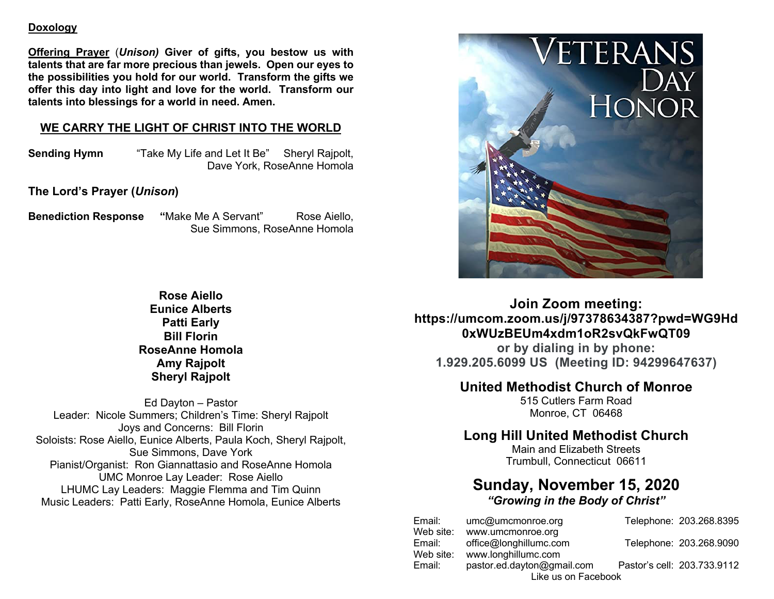#### **Doxology**

**Offering Prayer** (*Unison)* **Giver of gifts, you bestow us with talents that are far more precious than jewels. Open our eyes to the possibilities you hold for our world. Transform the gifts we offer this day into light and love for the world. Transform our talents into blessings for a world in need. Amen.**

## **WE CARRY THE LIGHT OF CHRIST INTO THE WORLD**

**Sending Hymn** "Take My Life and Let It Be" Sheryl Rajpolt, Dave York, RoseAnne Homola

**The Lord's Prayer (***Unison***)**

**Benediction Response "Make Me A Servant" Rose Aiello,** Sue Simmons, RoseAnne Homola

> **Rose Aiello Eunice Alberts Patti Early Bill Florin RoseAnne Homola Amy Rajpolt Sheryl Rajpolt**

Ed Dayton – Pastor Leader: Nicole Summers; Children's Time: Sheryl Rajpolt Joys and Concerns: Bill Florin Soloists: Rose Aiello, Eunice Alberts, Paula Koch, Sheryl Rajpolt, Sue Simmons, Dave York Pianist/Organist: Ron Giannattasio and RoseAnne Homola UMC Monroe Lay Leader: Rose Aiello LHUMC Lay Leaders: Maggie Flemma and Tim Quinn Music Leaders: Patti Early, RoseAnne Homola, Eunice Alberts



**Join Zoom meeting: https://umcom.zoom.us/j/97378634387?pwd=WG9Hd 0xWUzBEUm4xdm1oR2svQkFwQT09**

**or by dialing in by phone: 1.929.205.6099 US (Meeting ID: 94299647637)**

# **United Methodist Church of Monroe**

515 Cutlers Farm Road Monroe, CT 06468

# **Long Hill United Methodist Church**

Main and Elizabeth Streets Trumbull, Connecticut 06611

# **Sunday, November 15, 2020** *"Growing in the Body of Christ"*

Email: umc@umcmonroe.org Telephone: 203.268.8395 Web site: www.umcmonroe.org Email: office@longhillumc.com Telephone: 203.268.9090 Web site: www.longhillumc.com Email: pastor.ed.dayton@gmail.com Pastor's cell: 203.733.9112 Like us on Facebook